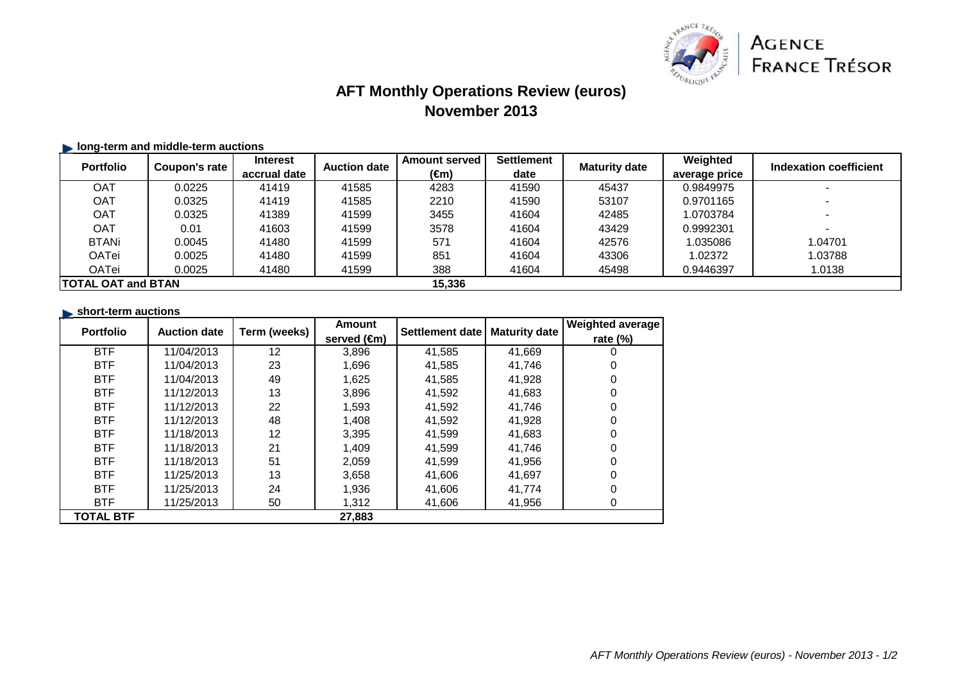

# **AFT Monthly Operations Review (euros)November 2013**

### **I** long-term and middle-term auctions

| <b>Portfolio</b>           | Coupon's rate | <b>Interest</b> | <b>Auction date</b> | <b>Amount served</b> | <b>Settlement</b> | <b>Maturity date</b> | Weighted      | Indexation coefficient |
|----------------------------|---------------|-----------------|---------------------|----------------------|-------------------|----------------------|---------------|------------------------|
|                            |               | accrual date    |                     | (€m)                 | date              |                      | average price |                        |
| OAT                        | 0.0225        | 41419           | 41585               | 4283                 | 41590             | 45437                | 0.9849975     |                        |
| <b>OAT</b>                 | 0.0325        | 41419           | 41585               | 2210                 | 41590             | 53107                | 0.9701165     |                        |
| <b>OAT</b>                 | 0.0325        | 41389           | 41599               | 3455                 | 41604             | 42485                | 1.0703784     |                        |
| <b>OAT</b>                 | 0.01          | 41603           | 41599               | 3578                 | 41604             | 43429                | 0.9992301     |                        |
| <b>BTANi</b>               | 0.0045        | 41480           | 41599               | 571                  | 41604             | 42576                | 1.035086      | 1.04701                |
| OATei                      | 0.0025        | 41480           | 41599               | 851                  | 41604             | 43306                | 1.02372       | 1.03788                |
| OATei                      | 0.0025        | 41480           | 41599               | 388                  | 41604             | 45498                | 0.9446397     | 1.0138                 |
| <b>ITOTAL OAT and BTAN</b> |               |                 |                     | 15,336               |                   |                      |               |                        |

#### **short-term auctions**

| <b>Portfolio</b> | <b>Auction date</b> | Term (weeks) | <b>Amount</b> | Settlement date | <b>Maturity date</b> | Weighted average |
|------------------|---------------------|--------------|---------------|-----------------|----------------------|------------------|
|                  |                     |              | served (€m)   |                 |                      | rate $(\%)$      |
| <b>BTF</b>       | 11/04/2013          | 12           | 3,896         | 41,585          | 41,669               | 0                |
| <b>BTF</b>       | 11/04/2013          | 23           | 1,696         | 41,585          | 41,746               |                  |
| <b>BTF</b>       | 11/04/2013          | 49           | 1,625         | 41,585          | 41,928               | 0                |
| <b>BTF</b>       | 11/12/2013          | 13           | 3,896         | 41,592          | 41,683               | 0                |
| <b>BTF</b>       | 11/12/2013          | 22           | 1,593         | 41,592          | 41.746               | 0                |
| <b>BTF</b>       | 11/12/2013          | 48           | 1.408         | 41.592          | 41.928               | 0                |
| <b>BTF</b>       | 11/18/2013          | 12           | 3,395         | 41.599          | 41,683               | 0                |
| <b>BTF</b>       | 11/18/2013          | 21           | 1.409         | 41,599          | 41.746               | 0                |
| <b>BTF</b>       | 11/18/2013          | 51           | 2,059         | 41,599          | 41,956               | 0                |
| <b>BTF</b>       | 11/25/2013          | 13           | 3.658         | 41,606          | 41,697               | 0                |
| <b>BTF</b>       | 11/25/2013          | 24           | 1,936         | 41,606          | 41,774               |                  |
| <b>BTF</b>       | 11/25/2013          | 50           | 1,312         | 41,606          | 41,956               | 0                |
| <b>TOTAL BTF</b> |                     |              | 27,883        |                 |                      |                  |